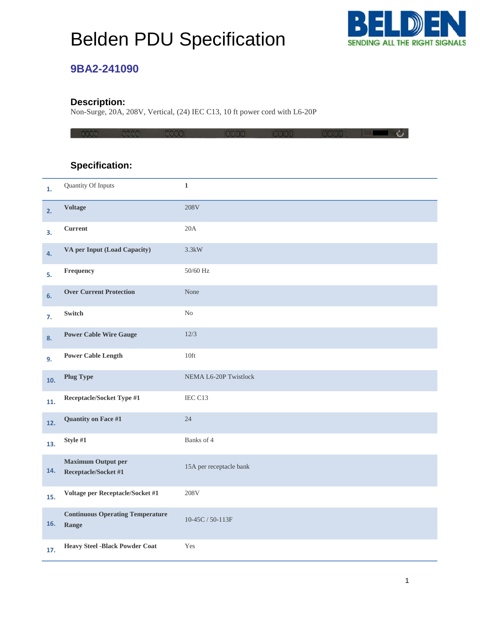# Belden PDU Specification



### **9BA2-241090**

#### **Description:**

Non-Surge, 20A, 208V, Vertical, (24) IEC C13, 10 ft power cord with L6-20P

|     | asaa<br>eaaa                                      | aaaa                    | 0000 | 13033 | 13131313 |  |
|-----|---------------------------------------------------|-------------------------|------|-------|----------|--|
|     |                                                   |                         |      |       |          |  |
|     | <b>Specification:</b>                             |                         |      |       |          |  |
| 1.  | Quantity Of Inputs                                | $\mathbf 1$             |      |       |          |  |
| 2.  | <b>Voltage</b>                                    | 208V                    |      |       |          |  |
| 3.  | Current                                           | 20A                     |      |       |          |  |
| 4.  | VA per Input (Load Capacity)                      | 3.3kW                   |      |       |          |  |
| 5.  | Frequency                                         | 50/60 Hz                |      |       |          |  |
| 6.  | <b>Over Current Protection</b>                    | None                    |      |       |          |  |
| 7.  | Switch                                            | $\rm No$                |      |       |          |  |
| 8.  | <b>Power Cable Wire Gauge</b>                     | 12/3                    |      |       |          |  |
| 9.  | <b>Power Cable Length</b>                         | 10ft                    |      |       |          |  |
| 10. | <b>Plug Type</b>                                  | NEMA L6-20P Twistlock   |      |       |          |  |
| 11. | Receptacle/Socket Type #1                         | IEC C13                 |      |       |          |  |
| 12. | Quantity on Face #1                               | 24                      |      |       |          |  |
| 13. | Style #1                                          | Banks of 4              |      |       |          |  |
| 14. | <b>Maximum Output per</b><br>Receptacle/Socket #1 | 15A per receptacle bank |      |       |          |  |
| 15. | Voltage per Receptacle/Socket #1                  | 208V                    |      |       |          |  |
| 16. | <b>Continuous Operating Temperature</b><br>Range  | $10-45C/50-113F$        |      |       |          |  |
| 17. | <b>Heavy Steel -Black Powder Coat</b>             | Yes                     |      |       |          |  |